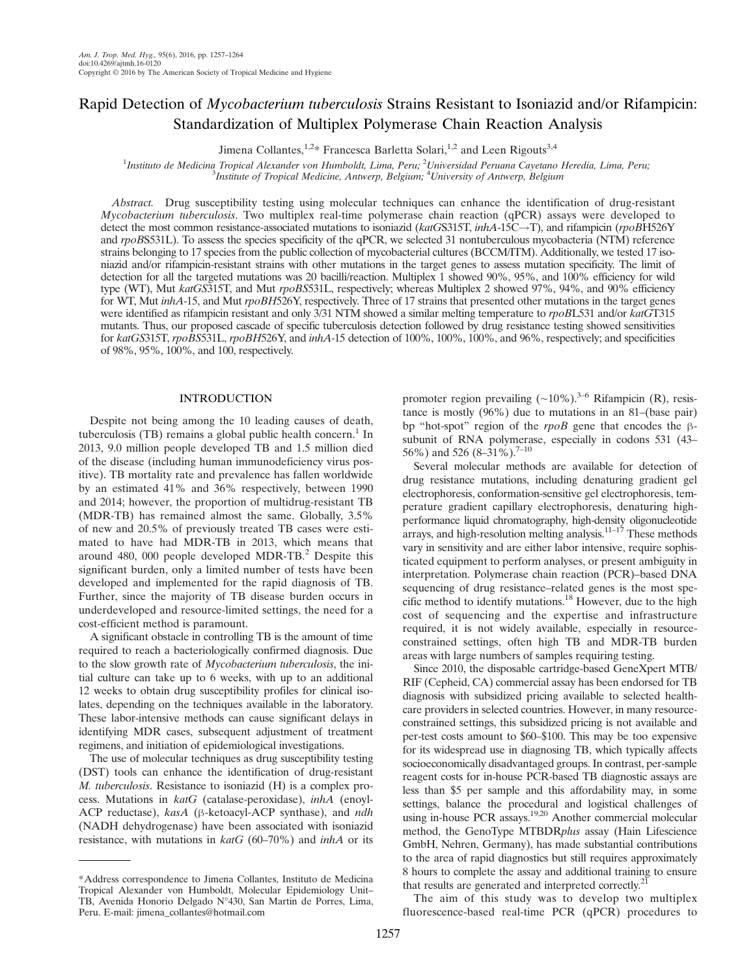# Rapid Detection of Mycobacterium tuberculosis Strains Resistant to Isoniazid and/or Rifampicin: Standardization of Multiplex Polymerase Chain Reaction Analysis

Jimena Collantes,  $1.2*$  Francesca Barletta Solari,  $1.2*$  and Leen Rigouts<sup>3,4</sup>

<sup>1</sup>Instituto de Medicina Tropical Alexander von Humboldt, Lima, Peru; <sup>2</sup>Universidad Peruana Cayetano Heredia, Lima, Peru;<br><sup>3</sup>Institute of Tropical Medicine, Antwerp, Belgium: <sup>4</sup>University of Antwerp, Belgium Institute of Tropical Medicine, Antwerp, Belgium; <sup>4</sup>University of Antwerp, Belgium

Abstract. Drug susceptibility testing using molecular techniques can enhance the identification of drug-resistant Mycobacterium tuberculosis. Two multiplex real-time polymerase chain reaction (qPCR) assays were developed to detect the most common resistance-associated mutations to isoniazid (katGS315T,  $inhA-15C \rightarrow T$ ), and rifampicin (rpoBH526Y and rpoBS531L). To assess the species specificity of the qPCR, we selected 31 nontuberculous mycobacteria (NTM) reference strains belonging to 17 species from the public collection of mycobacterial cultures (BCCM/ITM). Additionally, we tested 17 isoniazid and/or rifampicin-resistant strains with other mutations in the target genes to assess mutation specificity. The limit of detection for all the targeted mutations was 20 bacilli/reaction. Multiplex 1 showed 90%, 95%, and 100% efficiency for wild type (WT), Mut katGS315T, and Mut rpoBS531L, respectively; whereas Multiplex 2 showed 97%, 94%, and 90% efficiency for WT, Mut inhA-15, and Mut rpoBH526Y, respectively. Three of 17 strains that presented other mutations in the target genes were identified as rifampicin resistant and only 3/31 NTM showed a similar melting temperature to rpoBL531 and/or katGT315 mutants. Thus, our proposed cascade of specific tuberculosis detection followed by drug resistance testing showed sensitivities for katGS315T, rpoBS531L, rpoBH526Y, and  $inhA-15$  detection of 100%, 100%, 100%, and 96%, respectively; and specificities of 98%, 95%, 100%, and 100, respectively.

## INTRODUCTION

Despite not being among the 10 leading causes of death, tuberculosis (TB) remains a global public health concern.<sup>1</sup> In 2013, 9.0 million people developed TB and 1.5 million died of the disease (including human immunodeficiency virus positive). TB mortality rate and prevalence has fallen worldwide by an estimated 41% and 36% respectively, between 1990 and 2014; however, the proportion of multidrug-resistant TB (MDR-TB) has remained almost the same. Globally, 3.5% of new and 20.5% of previously treated TB cases were estimated to have had MDR-TB in 2013, which means that around 480, 000 people developed MDR-TB.<sup>2</sup> Despite this significant burden, only a limited number of tests have been developed and implemented for the rapid diagnosis of TB. Further, since the majority of TB disease burden occurs in underdeveloped and resource-limited settings, the need for a cost-efficient method is paramount.

A significant obstacle in controlling TB is the amount of time required to reach a bacteriologically confirmed diagnosis. Due to the slow growth rate of Mycobacterium tuberculosis, the initial culture can take up to 6 weeks, with up to an additional 12 weeks to obtain drug susceptibility profiles for clinical isolates, depending on the techniques available in the laboratory. These labor-intensive methods can cause significant delays in identifying MDR cases, subsequent adjustment of treatment regimens, and initiation of epidemiological investigations.

The use of molecular techniques as drug susceptibility testing (DST) tools can enhance the identification of drug-resistant M. tuberculosis. Resistance to isoniazid (H) is a complex process. Mutations in katG (catalase-peroxidase), inhA (enoyl-ACP reductase), kasA (β-ketoacyl-ACP synthase), and *ndh* (NADH dehydrogenase) have been associated with isoniazid resistance, with mutations in  $k \cdot atG$  (60–70%) and  $inhA$  or its promoter region prevailing (∼10%).<sup>3–6</sup> Rifampicin (R), resistance is mostly (96%) due to mutations in an 81–(base pair) bp "hot-spot" region of the *rpoB* gene that encodes the βsubunit of RNA polymerase, especially in codons 531 (43– 56%) and 526 (8–31%).<sup>7–10</sup>

Several molecular methods are available for detection of drug resistance mutations, including denaturing gradient gel electrophoresis, conformation-sensitive gel electrophoresis, temperature gradient capillary electrophoresis, denaturing highperformance liquid chromatography, high-density oligonucleotide arrays, and high-resolution melting analysis. $11-17$  These methods vary in sensitivity and are either labor intensive, require sophisticated equipment to perform analyses, or present ambiguity in interpretation. Polymerase chain reaction (PCR)–based DNA sequencing of drug resistance–related genes is the most specific method to identify mutations.18 However, due to the high cost of sequencing and the expertise and infrastructure required, it is not widely available, especially in resourceconstrained settings, often high TB and MDR-TB burden areas with large numbers of samples requiring testing.

Since 2010, the disposable cartridge-based GeneXpert MTB/ RIF (Cepheid, CA) commercial assay has been endorsed for TB diagnosis with subsidized pricing available to selected healthcare providers in selected countries. However, in many resourceconstrained settings, this subsidized pricing is not available and per-test costs amount to \$60–\$100. This may be too expensive for its widespread use in diagnosing TB, which typically affects socioeconomically disadvantaged groups. In contrast, per-sample reagent costs for in-house PCR-based TB diagnostic assays are less than \$5 per sample and this affordability may, in some settings, balance the procedural and logistical challenges of using in-house PCR assays.<sup>19,20</sup> Another commercial molecular method, the GenoType MTBDRplus assay (Hain Lifescience GmbH, Nehren, Germany), has made substantial contributions to the area of rapid diagnostics but still requires approximately 8 hours to complete the assay and additional training to ensure that results are generated and interpreted correctly.<sup>2</sup>

The aim of this study was to develop two multiplex fluorescence-based real-time PCR (qPCR) procedures to

<sup>\*</sup>Address correspondence to Jimena Collantes, Instituto de Medicina Tropical Alexander von Humboldt, Molecular Epidemiology Unit– TB, Avenida Honorio Delgado N°430, San Martin de Porres, Lima, Peru. E-mail: jimena\_collantes@hotmail.com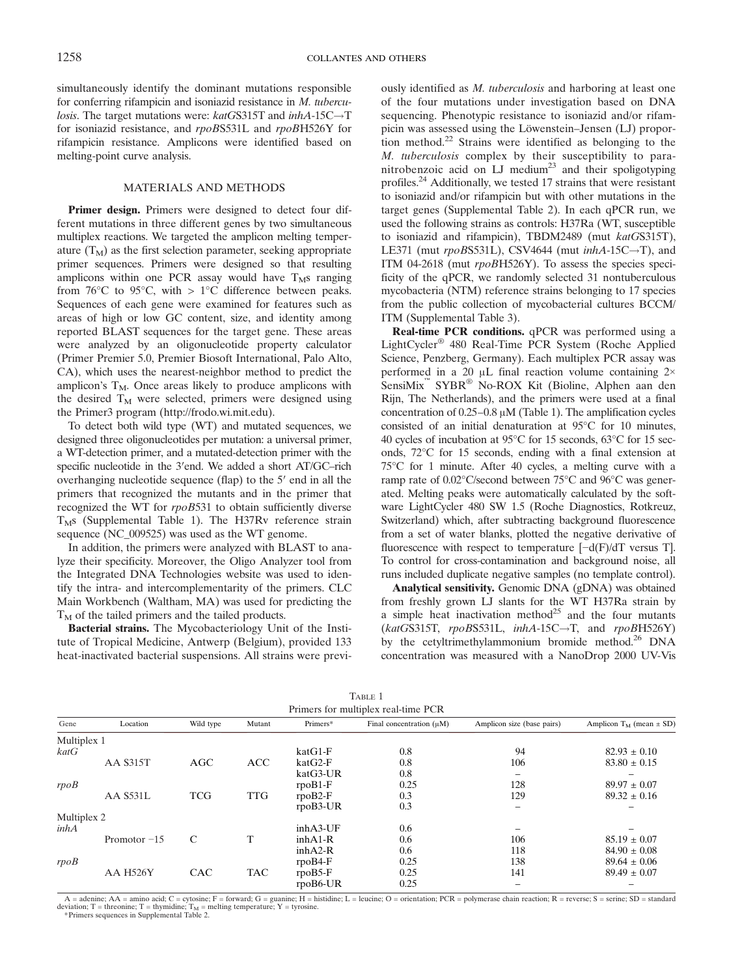simultaneously identify the dominant mutations responsible for conferring rifampicin and isoniazid resistance in M. tubercu*losis*. The target mutations were:  $k \cdot \text{ad} G S 315T$  and  $\text{inh} A - 15C \rightarrow T$ for isoniazid resistance, and rpoBS531L and rpoBH526Y for rifampicin resistance. Amplicons were identified based on melting-point curve analysis.

### MATERIALS AND METHODS

Primer design. Primers were designed to detect four different mutations in three different genes by two simultaneous multiplex reactions. We targeted the amplicon melting temperature  $(T_M)$  as the first selection parameter, seeking appropriate primer sequences. Primers were designed so that resulting amplicons within one PCR assay would have  $T_Ms$  ranging from 76 $\rm{^{\circ}C}$  to 95 $\rm{^{\circ}C}$ , with > 1 $\rm{^{\circ}C}$  difference between peaks. Sequences of each gene were examined for features such as areas of high or low GC content, size, and identity among reported BLAST sequences for the target gene. These areas were analyzed by an oligonucleotide property calculator (Primer Premier 5.0, Premier Biosoft International, Palo Alto, CA), which uses the nearest-neighbor method to predict the amplicon's  $T_M$ . Once areas likely to produce amplicons with the desired  $T_M$  were selected, primers were designed using the Primer3 program (http://frodo.wi.mit.edu).

To detect both wild type (WT) and mutated sequences, we designed three oligonucleotides per mutation: a universal primer, a WT-detection primer, and a mutated-detection primer with the specific nucleotide in the 3′end. We added a short AT/GC–rich overhanging nucleotide sequence (flap) to the 5′ end in all the primers that recognized the mutants and in the primer that recognized the WT for rpoB531 to obtain sufficiently diverse  $T_Ms$  (Supplemental Table 1). The H37Rv reference strain sequence (NC\_009525) was used as the WT genome.

In addition, the primers were analyzed with BLAST to analyze their specificity. Moreover, the Oligo Analyzer tool from the Integrated DNA Technologies website was used to identify the intra- and intercomplementarity of the primers. CLC Main Workbench (Waltham, MA) was used for predicting the  $T<sub>M</sub>$  of the tailed primers and the tailed products.

Bacterial strains. The Mycobacteriology Unit of the Institute of Tropical Medicine, Antwerp (Belgium), provided 133 heat-inactivated bacterial suspensions. All strains were previously identified as M. tuberculosis and harboring at least one of the four mutations under investigation based on DNA sequencing. Phenotypic resistance to isoniazid and/or rifampicin was assessed using the Löwenstein–Jensen (LJ) proportion method.<sup>22</sup> Strains were identified as belonging to the M. tuberculosis complex by their susceptibility to paranitrobenzoic acid on LJ medium<sup>23</sup> and their spoligotyping profiles.<sup>24</sup> Additionally, we tested 17 strains that were resistant to isoniazid and/or rifampicin but with other mutations in the target genes (Supplemental Table 2). In each qPCR run, we used the following strains as controls: H37Ra (WT, susceptible to isoniazid and rifampicin), TBDM2489 (mut katGS315T), LE371 (mut  $rpoBS531L$ ), CSV4644 (mut  $inhA-15C \rightarrow T$ ), and ITM 04-2618 (mut rpoBH526Y). To assess the species specificity of the qPCR, we randomly selected 31 nontuberculous mycobacteria (NTM) reference strains belonging to 17 species from the public collection of mycobacterial cultures BCCM/ ITM (Supplemental Table 3).

Real-time PCR conditions. qPCR was performed using a LightCycler® 480 Real-Time PCR System (Roche Applied Science, Penzberg, Germany). Each multiplex PCR assay was performed in a 20 μL final reaction volume containing 2× SensiMix™ SYBR® No-ROX Kit (Bioline, Alphen aan den Rijn, The Netherlands), and the primers were used at a final concentration of 0.25–0.8 μM (Table 1). The amplification cycles consisted of an initial denaturation at 95°C for 10 minutes, 40 cycles of incubation at 95°C for 15 seconds, 63°C for 15 seconds, 72°C for 15 seconds, ending with a final extension at 75°C for 1 minute. After 40 cycles, a melting curve with a ramp rate of 0.02°C/second between 75°C and 96°C was generated. Melting peaks were automatically calculated by the software LightCycler 480 SW 1.5 (Roche Diagnostics, Rotkreuz, Switzerland) which, after subtracting background fluorescence from a set of water blanks, plotted the negative derivative of fluorescence with respect to temperature [−d(F)/dT versus T]. To control for cross-contamination and background noise, all runs included duplicate negative samples (no template control).

Analytical sensitivity. Genomic DNA (gDNA) was obtained from freshly grown LJ slants for the WT H37Ra strain by a simple heat inactivation method<sup>25</sup> and the four mutants (katGS315T,  $rpoB$ S531L,  $inhA-15C \rightarrow T$ , and  $rpoB$ H526Y) by the cetyltrimethylammonium bromide method.<sup>26</sup> DNA concentration was measured with a NanoDrop 2000 UV-Vis

| TABLE 1                             |                 |            |            |            |                               |                            |                                |  |  |  |  |  |
|-------------------------------------|-----------------|------------|------------|------------|-------------------------------|----------------------------|--------------------------------|--|--|--|--|--|
| Primers for multiplex real-time PCR |                 |            |            |            |                               |                            |                                |  |  |  |  |  |
| Gene                                | Location        | Wild type  | Mutant     | Primers*   | Final concentration $(\mu M)$ | Amplicon size (base pairs) | Amplicon $T_M$ (mean $\pm$ SD) |  |  |  |  |  |
| Multiplex 1                         |                 |            |            |            |                               |                            |                                |  |  |  |  |  |
| katG                                |                 |            |            | $katG1-F$  | 0.8                           | 94                         | $82.93 \pm 0.10$               |  |  |  |  |  |
|                                     | <b>AA S315T</b> | AGC        | <b>ACC</b> | $katG2-F$  | 0.8                           | 106                        | $83.80 \pm 0.15$               |  |  |  |  |  |
|                                     |                 |            |            | katG3-UR   | 0.8                           |                            |                                |  |  |  |  |  |
| rpoB                                |                 |            |            | $rpoB1-F$  | 0.25                          | 128                        | $89.97 \pm 0.07$               |  |  |  |  |  |
|                                     | <b>AA S531L</b> | <b>TCG</b> | <b>TTG</b> | $rpoB2-F$  | 0.3                           | 129                        | $89.32 \pm 0.16$               |  |  |  |  |  |
|                                     |                 |            |            | $rpoB3-UR$ | 0.3                           |                            |                                |  |  |  |  |  |
| Multiplex 2                         |                 |            |            |            |                               |                            |                                |  |  |  |  |  |
| inhA                                |                 |            |            | inhA3-UF   | 0.6                           |                            |                                |  |  |  |  |  |
|                                     | Promotor $-15$  | C          | т          | $inhA1-R$  | 0.6                           | 106                        | $85.19 \pm 0.07$               |  |  |  |  |  |
|                                     |                 |            |            | $inhA2-R$  | 0.6                           | 118                        | $84.90 \pm 0.08$               |  |  |  |  |  |
| rpoB                                |                 |            |            | $rpoB4-F$  | 0.25                          | 138                        | $89.64 \pm 0.06$               |  |  |  |  |  |
|                                     | <b>AA H526Y</b> | CAC        | <b>TAC</b> | $rpoB5-F$  | 0.25                          | 141                        | $89.49 \pm 0.07$               |  |  |  |  |  |
|                                     |                 |            |            | $rpoB6-UR$ | 0.25                          |                            |                                |  |  |  |  |  |

 $A =$  adenine;  $AA =$  amino acid;  $C =$  cytosine;  $F =$  forward;  $G =$  guanine;  $H =$  histidine;  $L =$  leucine;  $O =$  orientation;  $PCR =$  polymerase chain reaction;  $R =$  reverse;  $S =$  serine;  $SD =$  standard deviation;  $T =$  threonine;  $T =$  thymidine;  $T_M =$  melting temperature;  $Y =$  tyrosine.

\*Primers sequences in Supplemental Table 2.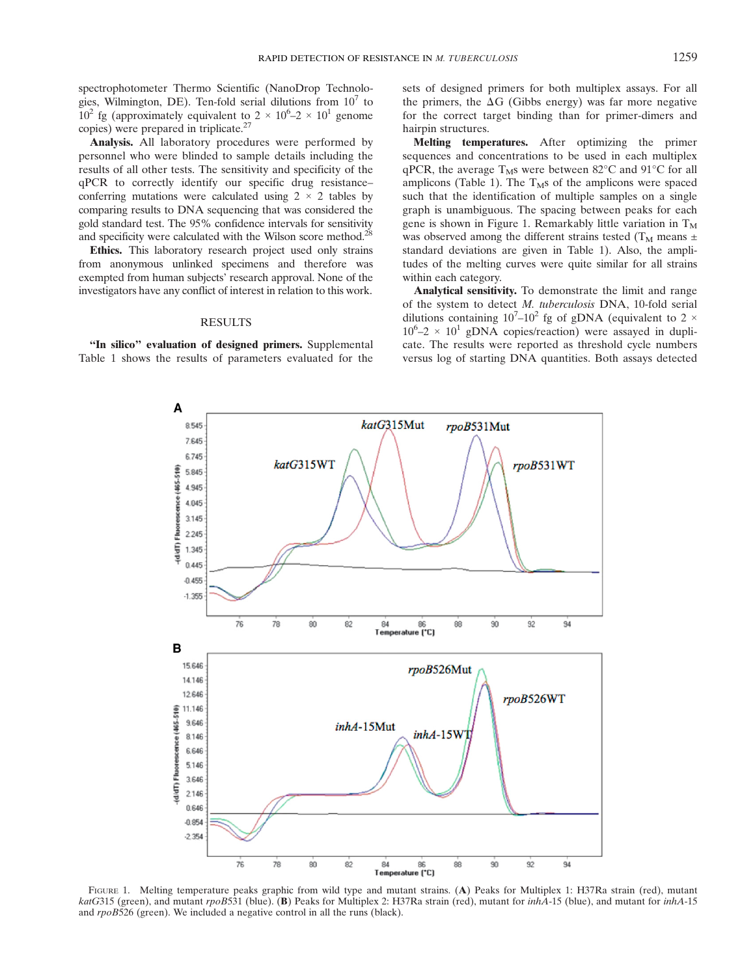spectrophotometer Thermo Scientific (NanoDrop Technologies, Wilmington, DE). Ten-fold serial dilutions from  $10<sup>7</sup>$  to 10<sup>2</sup> fg (approximately equivalent to  $2 \times 10^6$ – $2 \times 10^1$  genome copies) were prepared in triplicate.<sup>27</sup>

Analysis. All laboratory procedures were performed by personnel who were blinded to sample details including the results of all other tests. The sensitivity and specificity of the qPCR to correctly identify our specific drug resistance– conferring mutations were calculated using  $2 \times 2$  tables by comparing results to DNA sequencing that was considered the gold standard test. The 95% confidence intervals for sensitivity and specificity were calculated with the Wilson score method.<sup>28</sup>

Ethics. This laboratory research project used only strains from anonymous unlinked specimens and therefore was exempted from human subjects' research approval. None of the investigators have any conflict of interest in relation to this work.

### **RESULTS**

"In silico" evaluation of designed primers. Supplemental Table 1 shows the results of parameters evaluated for the

A

sets of designed primers for both multiplex assays. For all the primers, the  $\Delta G$  (Gibbs energy) was far more negative for the correct target binding than for primer-dimers and hairpin structures.

Melting temperatures. After optimizing the primer sequences and concentrations to be used in each multiplex qPCR, the average  $T_Ms$  were between 82°C and 91°C for all amplicons (Table 1). The  $T_Ms$  of the amplicons were spaced such that the identification of multiple samples on a single graph is unambiguous. The spacing between peaks for each gene is shown in Figure 1. Remarkably little variation in  $T_M$ was observed among the different strains tested ( $T_M$  means  $\pm$ standard deviations are given in Table 1). Also, the amplitudes of the melting curves were quite similar for all strains within each category.

Analytical sensitivity. To demonstrate the limit and range of the system to detect M. tuberculosis DNA, 10-fold serial dilutions containing  $10^7$ – $10^2$  fg of gDNA (equivalent to 2  $\times$  $10^6$ -2 ×  $10^1$  gDNA copies/reaction) were assayed in duplicate. The results were reported as threshold cycle numbers versus log of starting DNA quantities. Both assays detected



FIGURE 1. Melting temperature peaks graphic from wild type and mutant strains. (A) Peaks for Multiplex 1: H37Ra strain (red), mutant katG315 (green), and mutant rpoB531 (blue). (B) Peaks for Multiplex 2: H37Ra strain (red), mutant for *inhA*-15 (blue), and mutant for *inhA*-15 and rpoB526 (green). We included a negative control in all the runs (black).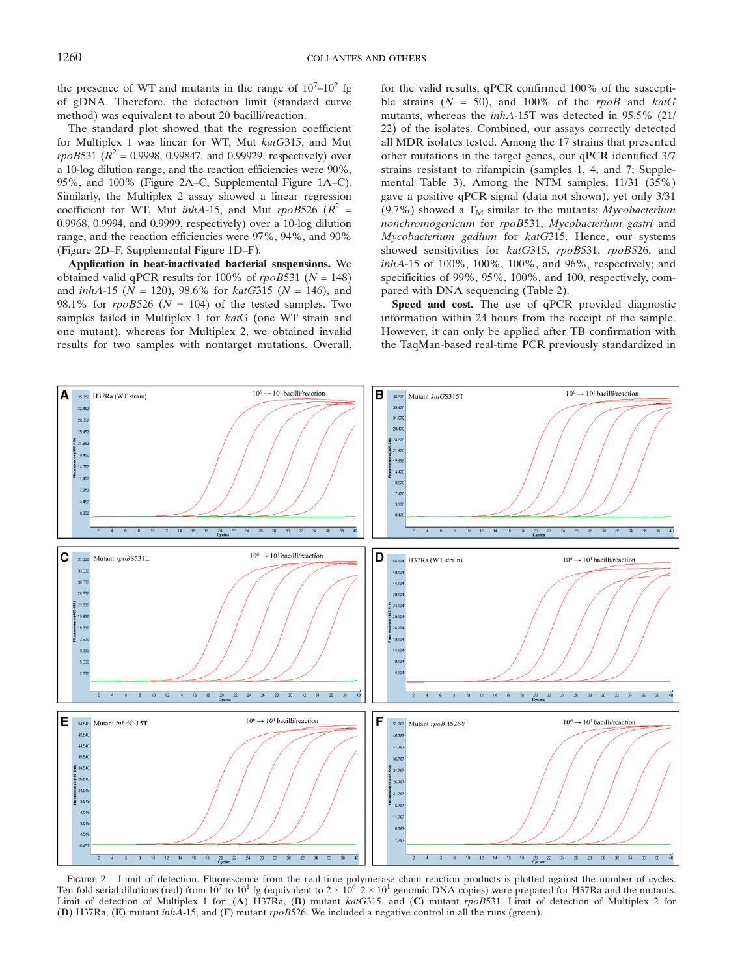the presence of WT and mutants in the range of  $10<sup>7</sup> - 10<sup>2</sup>$  fg of gDNA. Therefore, the detection limit (standard curve method) was equivalent to about 20 bacilli/reaction.

The standard plot showed that the regression coefficient for Multiplex 1 was linear for WT, Mut katG315, and Mut *rpoB*531 ( $R^2$  = 0.9998, 0.99847, and 0.99929, respectively) over a 10-log dilution range, and the reaction efficiencies were 90%, 95%, and 100% (Figure 2A–C, Supplemental Figure 1A–C). Similarly, the Multiplex 2 assay showed a linear regression coefficient for WT, Mut *inhA*-15, and Mut  $\text{rp} \circ B526$  ( $\mathbb{R}^2$  = 0.9968, 0.9994, and 0.9999, respectively) over a 10-log dilution range, and the reaction efficiencies were 97%, 94%, and 90% (Figure 2D–F, Supplemental Figure 1D–F).

Application in heat-inactivated bacterial suspensions. We obtained valid qPCR results for 100% of  $rpoB531$  ( $N = 148$ ) and  $inhA-15$  ( $N = 120$ ), 98.6% for  $katG315$  ( $N = 146$ ), and 98.1% for  $\text{rpoB526}$  ( $N = 104$ ) of the tested samples. Two samples failed in Multiplex 1 for katG (one WT strain and one mutant), whereas for Multiplex 2, we obtained invalid results for two samples with nontarget mutations. Overall,

for the valid results, qPCR confirmed 100% of the susceptible strains  $(N = 50)$ , and 100% of the rpoB and katG mutants, whereas the inhA-15T was detected in 95.5% (21/ 22) of the isolates. Combined, our assays correctly detected all MDR isolates tested. Among the 17 strains that presented other mutations in the target genes, our qPCR identified 3/7 strains resistant to rifampicin (samples 1, 4, and 7; Supplemental Table 3). Among the NTM samples, 11/31 (35%) gave a positive qPCR signal (data not shown), yet only 3/31 (9.7%) showed a  $T_M$  similar to the mutants; Mycobacterium nonchromogenicum for rpoB531, Mycobacterium gastri and Mycobacterium gadium for katG315. Hence, our systems showed sensitivities for katG315, rpoB531, rpoB526, and inhA-15 of 100%, 100%, 100%, and 96%, respectively; and specificities of 99%, 95%, 100%, and 100, respectively, compared with DNA sequencing (Table 2).

Speed and cost. The use of qPCR provided diagnostic information within 24 hours from the receipt of the sample. However, it can only be applied after TB confirmation with the TaqMan-based real-time PCR previously standardized in



FIGURE 2. Limit of detection. Fluorescence from the real-time polymerase chain reaction products is plotted against the number of cycles. Ten-fold serial dilutions (red) from  $10^7$  to  $10^1$  fg (equivalent to  $2 \times 10^6$ – $2 \times 10^1$  genomic DNA copies) were prepared for H37Ra and the mutants. Limit of detection of Multiplex 1 for: (A) H37Ra, (B) mutant katG315, and (C) mutant rpoB531. Limit of detection of Multiplex 2 for (D) H37Ra, (E) mutant inhA-15, and (F) mutant rpoB526. We included a negative control in all the runs (green).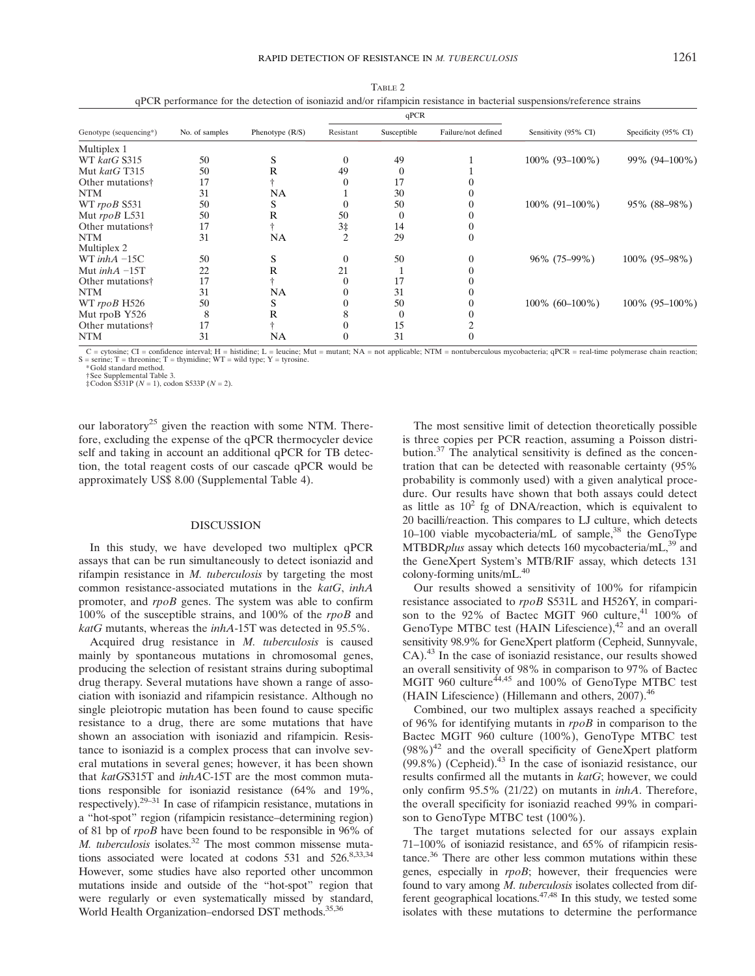|                              | No. of samples | Phenotype $(R/S)$ |                | qPCR             |                     | Sensitivity (95% CI) | Specificity (95% CI) |
|------------------------------|----------------|-------------------|----------------|------------------|---------------------|----------------------|----------------------|
| Genotype (sequencing*)       |                |                   | Resistant      | Susceptible      | Failure/not defined |                      |                      |
| Multiplex 1                  |                |                   |                |                  |                     |                      |                      |
| WT katG S315                 | 50             |                   | $\mathbf{0}$   | 49               |                     | $100\%$ (93-100%)    | 99% (94-100%)        |
| Mut katG T315                | 50             | R                 | 49             | $\left( \right)$ |                     |                      |                      |
| Other mutations <sup>†</sup> | 17             |                   | $\Omega$       | 17               |                     |                      |                      |
| <b>NTM</b>                   | 31             | NA                |                | 30               |                     |                      |                      |
| WT rpoB S531                 | 50             | S                 | 0              | 50               |                     | $100\%$ (91-100%)    | 95% (88–98%)         |
| Mut rpoB L531                | 50             | R                 | 50             | $\cup$           |                     |                      |                      |
| Other mutations <sup>†</sup> | 17             |                   | 3‡             | 14               |                     |                      |                      |
| <b>NTM</b>                   | 31             | NA                | $\overline{c}$ | 29               |                     |                      |                      |
| Multiplex 2                  |                |                   |                |                  |                     |                      |                      |
| WT inh $A - 15C$             | 50             | S                 | $\theta$       | 50               |                     | 96% (75–99%)         | 100% (95–98%)        |
| Mut $inhA -15T$              | 22             | R                 | 21             |                  |                     |                      |                      |
| Other mutations <sup>†</sup> | 17             |                   | $\theta$       | 17               |                     |                      |                      |
| <b>NTM</b>                   | 31             | NA                | 0              | 31               |                     |                      |                      |
| WT rpoB H526                 | 50             | S                 |                | 50               |                     | $100\%$ (60–100%)    | 100% (95-100%)       |
| Mut rpoB Y526                | 8              | R                 | 8              | $\theta$         |                     |                      |                      |
| Other mutations <sup>†</sup> | 17             |                   |                | 15               |                     |                      |                      |
| <b>NTM</b>                   | 31             | <b>NA</b>         | 0              | 31               |                     |                      |                      |

TABLE 2 qPCR performance for the detection of isoniazid and/or rifampicin resistance in bacterial suspensions/reference strains

 $C =$  cytosine;  $CI =$  confidence interval;  $H =$  histidine;  $L =$  leucine; Mut = mutant; NA = not applicable; NTM = nontuberculous mycobacteria; qPCR = real-time polymerase chain reaction; S = serine; T = threonine; T = thymidine; WT = wild type; Y = tyrosine. \*Gold standard method.

†See Supplemental Table 3.

 $\pm$ Codon S531P (N = 1), codon S533P (N = 2).

our laboratory<sup>25</sup> given the reaction with some NTM. Therefore, excluding the expense of the qPCR thermocycler device self and taking in account an additional qPCR for TB detection, the total reagent costs of our cascade qPCR would be approximately US\$ 8.00 (Supplemental Table 4).

#### DISCUSSION

In this study, we have developed two multiplex qPCR assays that can be run simultaneously to detect isoniazid and rifampin resistance in M. tuberculosis by targeting the most common resistance-associated mutations in the katG, inhA promoter, and rpoB genes. The system was able to confirm 100% of the susceptible strains, and 100% of the rpoB and katG mutants, whereas the inhA-15T was detected in 95.5%.

Acquired drug resistance in M. tuberculosis is caused mainly by spontaneous mutations in chromosomal genes, producing the selection of resistant strains during suboptimal drug therapy. Several mutations have shown a range of association with isoniazid and rifampicin resistance. Although no single pleiotropic mutation has been found to cause specific resistance to a drug, there are some mutations that have shown an association with isoniazid and rifampicin. Resistance to isoniazid is a complex process that can involve several mutations in several genes; however, it has been shown that katGS315T and inhAC-15T are the most common mutations responsible for isoniazid resistance (64% and 19%, respectively).29–<sup>31</sup> In case of rifampicin resistance, mutations in a "hot-spot" region (rifampicin resistance–determining region) of 81 bp of rpoB have been found to be responsible in 96% of M. tuberculosis isolates.<sup>32</sup> The most common missense mutations associated were located at codons 531 and  $526$ .<sup>8,33,34</sup> However, some studies have also reported other uncommon mutations inside and outside of the "hot-spot" region that were regularly or even systematically missed by standard, World Health Organization–endorsed DST methods.<sup>35,36</sup>

The most sensitive limit of detection theoretically possible is three copies per PCR reaction, assuming a Poisson distribution.<sup>37</sup> The analytical sensitivity is defined as the concentration that can be detected with reasonable certainty (95% probability is commonly used) with a given analytical procedure. Our results have shown that both assays could detect as little as  $10^2$  fg of DNA/reaction, which is equivalent to 20 bacilli/reaction. This compares to LJ culture, which detects 10–100 viable mycobacteria/mL of sample,<sup>38</sup> the GenoType MTBDR*plus* assay which detects 160 mycobacteria/mL, $^{39}$  and the GeneXpert System's MTB/RIF assay, which detects 131 colony-forming units/mL.<sup>40</sup>

Our results showed a sensitivity of 100% for rifampicin resistance associated to rpoB S531L and H526Y, in comparison to the 92% of Bactec MGIT 960 culture,<sup>41</sup> 100% of GenoType MTBC test (HAIN Lifescience), $42$  and an overall sensitivity 98.9% for GeneXpert platform (Cepheid, Sunnyvale, CA).<sup>43</sup> In the case of isoniazid resistance, our results showed an overall sensitivity of 98% in comparison to 97% of Bactec MGIT 960 culture<sup>44,45</sup> and 100% of GenoType MTBC test (HAIN Lifescience) (Hillemann and others, 2007).<sup>46</sup>

Combined, our two multiplex assays reached a specificity of 96% for identifying mutants in  $rpoB$  in comparison to the Bactec MGIT 960 culture (100%), GenoType MTBC test  $(98\%)^{42}$  and the overall specificity of GeneXpert platform  $(99.8\%)$  (Cepheid).<sup>43</sup> In the case of isoniazid resistance, our results confirmed all the mutants in katG; however, we could only confirm 95.5% (21/22) on mutants in inhA. Therefore, the overall specificity for isoniazid reached 99% in comparison to GenoType MTBC test (100%).

The target mutations selected for our assays explain 71–100% of isoniazid resistance, and 65% of rifampicin resistance.36 There are other less common mutations within these genes, especially in rpoB; however, their frequencies were found to vary among M. tuberculosis isolates collected from different geographical locations.47,48 In this study, we tested some isolates with these mutations to determine the performance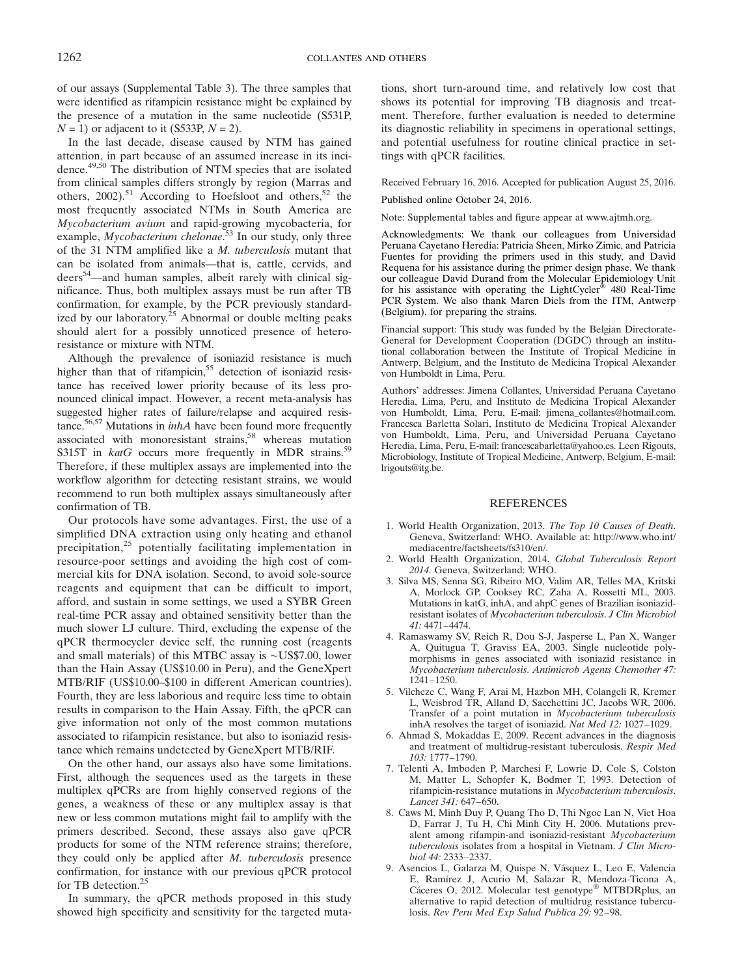of our assays (Supplemental Table 3). The three samples that were identified as rifampicin resistance might be explained by the presence of a mutation in the same nucleotide (S531P,  $N = 1$ ) or adjacent to it (S533P,  $N = 2$ ).

In the last decade, disease caused by NTM has gained attention, in part because of an assumed increase in its incidence.49,50 The distribution of NTM species that are isolated from clinical samples differs strongly by region (Marras and others,  $2002$ ).<sup>51</sup> According to Hoefsloot and others,<sup>52</sup> the most frequently associated NTMs in South America are Mycobacterium avium and rapid-growing mycobacteria, for example, *Mycobacterium chelonae*.<sup>53</sup> In our study, only three of the 31 NTM amplified like a M. tuberculosis mutant that can be isolated from animals—that is, cattle, cervids, and deers<sup>54</sup>—and human samples, albeit rarely with clinical significance. Thus, both multiplex assays must be run after TB confirmation, for example, by the PCR previously standardized by our laboratory. $25$  Abnormal or double melting peaks should alert for a possibly unnoticed presence of heteroresistance or mixture with NTM.

Although the prevalence of isoniazid resistance is much higher than that of rifampicin,<sup>55</sup> detection of isoniazid resistance has received lower priority because of its less pronounced clinical impact. However, a recent meta-analysis has suggested higher rates of failure/relapse and acquired resistance.<sup>56,57</sup> Mutations in *inhA* have been found more frequently associated with monoresistant strains,<sup>58</sup> whereas mutation S315T in  $katG$  occurs more frequently in MDR strains.<sup>59</sup> Therefore, if these multiplex assays are implemented into the workflow algorithm for detecting resistant strains, we would recommend to run both multiplex assays simultaneously after confirmation of TB.

Our protocols have some advantages. First, the use of a simplified DNA extraction using only heating and ethanol precipitation,<sup>25</sup> potentially facilitating implementation in resource-poor settings and avoiding the high cost of commercial kits for DNA isolation. Second, to avoid sole-source reagents and equipment that can be difficult to import, afford, and sustain in some settings, we used a SYBR Green real-time PCR assay and obtained sensitivity better than the much slower LJ culture. Third, excluding the expense of the qPCR thermocycler device self, the running cost (reagents and small materials) of this MTBC assay is ∼US\$7.00, lower than the Hain Assay (US\$10.00 in Peru), and the GeneXpert MTB/RIF (US\$10.00–\$100 in different American countries). Fourth, they are less laborious and require less time to obtain results in comparison to the Hain Assay. Fifth, the qPCR can give information not only of the most common mutations associated to rifampicin resistance, but also to isoniazid resistance which remains undetected by GeneXpert MTB/RIF.

On the other hand, our assays also have some limitations. First, although the sequences used as the targets in these multiplex qPCRs are from highly conserved regions of the genes, a weakness of these or any multiplex assay is that new or less common mutations might fail to amplify with the primers described. Second, these assays also gave qPCR products for some of the NTM reference strains; therefore, they could only be applied after M. tuberculosis presence confirmation, for instance with our previous qPCR protocol for TB detection.<sup>25</sup>

In summary, the qPCR methods proposed in this study showed high specificity and sensitivity for the targeted mutations, short turn-around time, and relatively low cost that shows its potential for improving TB diagnosis and treatment. Therefore, further evaluation is needed to determine its diagnostic reliability in specimens in operational settings, and potential usefulness for routine clinical practice in settings with qPCR facilities.

Received February 16, 2016. Accepted for publication August 25, 2016.

Published online October 24, 2016.

Note: Supplemental tables and figure appear at www.ajtmh.org.

Acknowledgments: We thank our colleagues from Universidad Peruana Cayetano Heredia: Patricia Sheen, Mirko Zimic, and Patricia Fuentes for providing the primers used in this study, and David Requena for his assistance during the primer design phase. We thank our colleague David Durand from the Molecular Epidemiology Unit for his assistance with operating the LightCycler® 480 Real-Time PCR System. We also thank Maren Diels from the ITM, Antwerp (Belgium), for preparing the strains.

Financial support: This study was funded by the Belgian Directorate-General for Development Cooperation (DGDC) through an institutional collaboration between the Institute of Tropical Medicine in Antwerp, Belgium, and the Instituto de Medicina Tropical Alexander von Humboldt in Lima, Peru.

Authors' addresses: Jimena Collantes, Universidad Peruana Cayetano Heredia, Lima, Peru, and Instituto de Medicina Tropical Alexander von Humboldt, Lima, Peru, E-mail: jimena\_collantes@hotmail.com. Francesca Barletta Solari, Instituto de Medicina Tropical Alexander von Humboldt, Lima, Peru, and Universidad Peruana Cayetano Heredia, Lima, Peru, E-mail: francescabarletta@yahoo.es. Leen Rigouts, Microbiology, Institute of Tropical Medicine, Antwerp, Belgium, E-mail: lrigouts@itg.be.

#### REFERENCES

- 1. World Health Organization, 2013. The Top 10 Causes of Death. Geneva, Switzerland: WHO. Available at: http://www.who.int/ mediacentre/factsheets/fs310/en/.
- 2. World Health Organization, 2014. Global Tuberculosis Report 2014. Geneva, Switzerland: WHO.
- 3. Silva MS, Senna SG, Ribeiro MO, Valim AR, Telles MA, Kritski A, Morlock GP, Cooksey RC, Zaha A, Rossetti ML, 2003. Mutations in katG, inhA, and ahpC genes of Brazilian isoniazidresistant isolates of Mycobacterium tuberculosis. J Clin Microbiol 41: 4471–4474.
- 4. Ramaswamy SV, Reich R, Dou S-J, Jasperse L, Pan X, Wanger A, Quitugua T, Graviss EA, 2003. Single nucleotide polymorphisms in genes associated with isoniazid resistance in Mycobacterium tuberculosis. Antimicrob Agents Chemother 47: 1241–1250.
- 5. Vilcheze C, Wang F, Arai M, Hazbon MH, Colangeli R, Kremer L, Weisbrod TR, Alland D, Sacchettini JC, Jacobs WR, 2006. Transfer of a point mutation in Mycobacterium tuberculosis inhA resolves the target of isoniazid. Nat Med 12: 1027–1029.
- 6. Ahmad S, Mokaddas E, 2009. Recent advances in the diagnosis and treatment of multidrug-resistant tuberculosis. Respir Med 103: 1777–1790.
- 7. Telenti A, Imboden P, Marchesi F, Lowrie D, Cole S, Colston M, Matter L, Schopfer K, Bodmer T, 1993. Detection of rifampicin-resistance mutations in Mycobacterium tuberculosis. Lancet 341: 647–650.
- 8. Caws M, Minh Duy P, Quang Tho D, Thi Ngoc Lan N, Viet Hoa D, Farrar J, Tu H, Chi Minh City H, 2006. Mutations prevalent among rifampin-and isoniazid-resistant Mycobacterium tuberculosis isolates from a hospital in Vietnam. J Clin Microbiol 44: 2333–2337.
- 9. Asencios L, Galarza M, Quispe N, Vásquez L, Leo E, Valencia E, Ramírez J, Acurio M, Salazar R, Mendoza-Ticona A, Cáceres O, 2012. Molecular test genotype® MTBDRplus, an alternative to rapid detection of multidrug resistance tuberculosis. Rev Peru Med Exp Salud Publica 29: 92–98.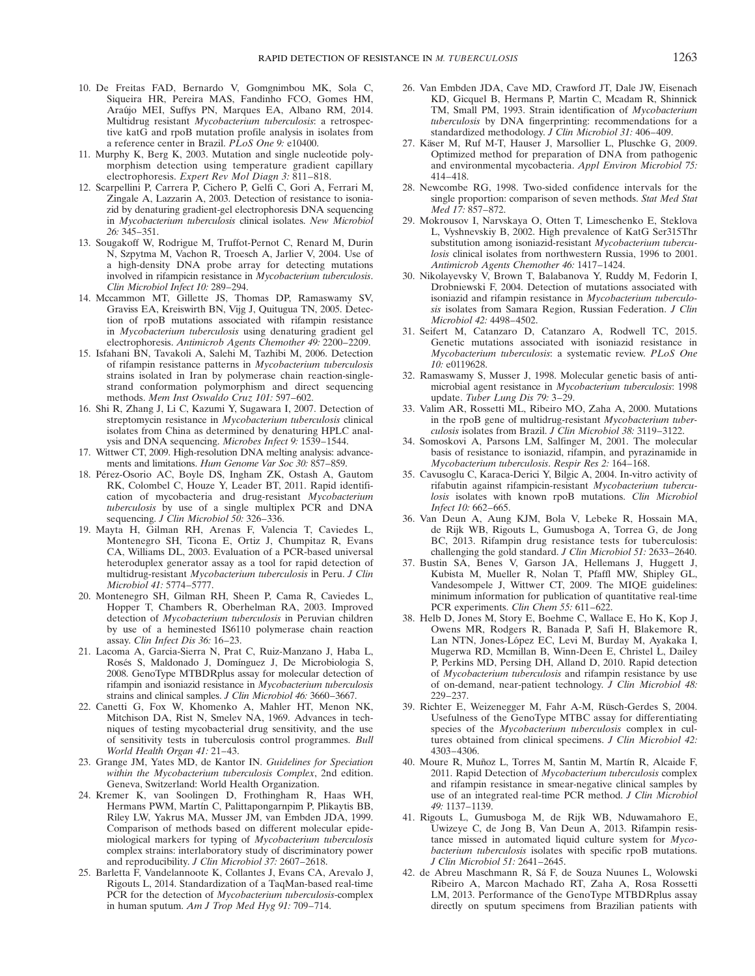- 10. De Freitas FAD, Bernardo V, Gomgnimbou MK, Sola C, Siqueira HR, Pereira MAS, Fandinho FCO, Gomes HM, Araújo MEI, Suffys PN, Marques EA, Albano RM, 2014. Multidrug resistant Mycobacterium tuberculosis: a retrospective katG and rpoB mutation profile analysis in isolates from a reference center in Brazil. PLoS One 9: e10400.
- 11. Murphy K, Berg K, 2003. Mutation and single nucleotide polymorphism detection using temperature gradient capillary electrophoresis. Expert Rev Mol Diagn 3: 811–818.
- 12. Scarpellini P, Carrera P, Cichero P, Gelfi C, Gori A, Ferrari M, Zingale A, Lazzarin A, 2003. Detection of resistance to isoniazid by denaturing gradient-gel electrophoresis DNA sequencing in Mycobacterium tuberculosis clinical isolates. New Microbiol 26: 345–351.
- 13. Sougakoff W, Rodrigue M, Truffot-Pernot C, Renard M, Durin N, Szpytma M, Vachon R, Troesch A, Jarlier V, 2004. Use of a high-density DNA probe array for detecting mutations involved in rifampicin resistance in Mycobacterium tuberculosis. Clin Microbiol Infect 10: 289–294.
- 14. Mccammon MT, Gillette JS, Thomas DP, Ramaswamy SV, Graviss EA, Kreiswirth BN, Vijg J, Quitugua TN, 2005. Detection of rpoB mutations associated with rifampin resistance in Mycobacterium tuberculosis using denaturing gradient gel electrophoresis. Antimicrob Agents Chemother 49: 2200–2209.
- 15. Isfahani BN, Tavakoli A, Salehi M, Tazhibi M, 2006. Detection of rifampin resistance patterns in Mycobacterium tuberculosis strains isolated in Iran by polymerase chain reaction-singlestrand conformation polymorphism and direct sequencing methods. Mem Inst Oswaldo Cruz 101: 597–602.
- 16. Shi R, Zhang J, Li C, Kazumi Y, Sugawara I, 2007. Detection of streptomycin resistance in Mycobacterium tuberculosis clinical isolates from China as determined by denaturing HPLC analysis and DNA sequencing. Microbes Infect 9: 1539–1544.
- 17. Wittwer CT, 2009. High-resolution DNA melting analysis: advancements and limitations. Hum Genome Var Soc 30: 857–859.
- 18. Pérez-Osorio AC, Boyle DS, Ingham ZK, Ostash A, Gautom RK, Colombel C, Houze Y, Leader BT, 2011. Rapid identification of mycobacteria and drug-resistant Mycobacterium tuberculosis by use of a single multiplex PCR and DNA sequencing. J Clin Microbiol 50: 326-336.
- 19. Mayta H, Gilman RH, Arenas F, Valencia T, Caviedes L, Montenegro SH, Ticona E, Ortiz J, Chumpitaz R, Evans CA, Williams DL, 2003. Evaluation of a PCR-based universal heteroduplex generator assay as a tool for rapid detection of multidrug-resistant Mycobacterium tuberculosis in Peru. J Clin Microbiol 41: 5774–5777.
- 20. Montenegro SH, Gilman RH, Sheen P, Cama R, Caviedes L, Hopper T, Chambers R, Oberhelman RA, 2003. Improved detection of Mycobacterium tuberculosis in Peruvian children by use of a heminested IS6110 polymerase chain reaction assay. Clin Infect Dis 36: 16–23.
- 21. Lacoma A, Garcia-Sierra N, Prat C, Ruiz-Manzano J, Haba L, Rosés S, Maldonado J, Domínguez J, De Microbiologia S, 2008. GenoType MTBDRplus assay for molecular detection of rifampin and isoniazid resistance in Mycobacterium tuberculosis strains and clinical samples. J Clin Microbiol 46: 3660–3667.
- 22. Canetti G, Fox W, Khomenko A, Mahler HT, Menon NK, Mitchison DA, Rist N, Smelev NA, 1969. Advances in techniques of testing mycobacterial drug sensitivity, and the use of sensitivity tests in tuberculosis control programmes. Bull World Health Organ 41: 21–43.
- 23. Grange JM, Yates MD, de Kantor IN. Guidelines for Speciation within the Mycobacterium tuberculosis Complex, 2nd edition. Geneva, Switzerland: World Health Organization.
- 24. Kremer K, van Soolingen D, Frothingham R, Haas WH, Hermans PWM, Martín C, Palittapongarnpim P, Plikaytis BB, Riley LW, Yakrus MA, Musser JM, van Embden JDA, 1999. Comparison of methods based on different molecular epidemiological markers for typing of Mycobacterium tuberculosis complex strains: interlaboratory study of discriminatory power and reproducibility. J Clin Microbiol 37: 2607–2618.
- 25. Barletta F, Vandelannoote K, Collantes J, Evans CA, Arevalo J, Rigouts L, 2014. Standardization of a TaqMan-based real-time PCR for the detection of *Mycobacterium tuberculosis-complex* in human sputum. Am J Trop Med Hyg 91: 709–714.
- 26. Van Embden JDA, Cave MD, Crawford JT, Dale JW, Eisenach KD, Gicquel B, Hermans P, Martin C, Mcadam R, Shinnick TM, Small PM, 1993. Strain identification of Mycobacterium tuberculosis by DNA fingerprinting: recommendations for a standardized methodology. J Clin Microbiol 31: 406-409.
- 27. Käser M, Ruf M-T, Hauser J, Marsollier L, Pluschke G, 2009. Optimized method for preparation of DNA from pathogenic and environmental mycobacteria. Appl Environ Microbiol 75: 414–418.
- 28. Newcombe RG, 1998. Two-sided confidence intervals for the single proportion: comparison of seven methods. Stat Med Stat Med 17: 857–872.
- 29. Mokrousov I, Narvskaya O, Otten T, Limeschenko E, Steklova L, Vyshnevskiy B, 2002. High prevalence of KatG Ser315Thr substitution among isoniazid-resistant Mycobacterium tuberculosis clinical isolates from northwestern Russia, 1996 to 2001. Antimicrob Agents Chemother 46: 1417–1424.
- 30. Nikolayevsky V, Brown T, Balabanova Y, Ruddy M, Fedorin I, Drobniewski F, 2004. Detection of mutations associated with isoniazid and rifampin resistance in Mycobacterium tuberculosis isolates from Samara Region, Russian Federation. J Clin Microbiol 42: 4498–4502.
- 31. Seifert M, Catanzaro D, Catanzaro A, Rodwell TC, 2015. Genetic mutations associated with isoniazid resistance in Mycobacterium tuberculosis: a systematic review. PLoS One 10: e0119628.
- 32. Ramaswamy S, Musser J, 1998. Molecular genetic basis of antimicrobial agent resistance in Mycobacterium tuberculosis: 1998 update. Tuber Lung Dis 79: 3–29.
- 33. Valim AR, Rossetti ML, Ribeiro MO, Zaha A, 2000. Mutations in the rpoB gene of multidrug-resistant Mycobacterium tuberculosis isolates from Brazil. J Clin Microbiol 38: 3119–3122.
- 34. Somoskovi A, Parsons LM, Salfinger M, 2001. The molecular basis of resistance to isoniazid, rifampin, and pyrazinamide in Mycobacterium tuberculosis. Respir Res 2: 164–168.
- 35. Cavusoglu C, Karaca-Derici Y, Bilgic A, 2004. In-vitro activity of rifabutin against rifampicin-resistant Mycobacterium tuberculosis isolates with known rpoB mutations. Clin Microbiol Infect 10: 662–665.
- 36. Van Deun A, Aung KJM, Bola V, Lebeke R, Hossain MA, de Rijk WB, Rigouts L, Gumusboga A, Torrea G, de Jong BC, 2013. Rifampin drug resistance tests for tuberculosis: challenging the gold standard. J Clin Microbiol 51: 2633–2640.
- 37. Bustin SA, Benes V, Garson JA, Hellemans J, Huggett J, Kubista M, Mueller R, Nolan T, Pfaffl MW, Shipley GL, Vandesompele J, Wittwer CT, 2009. The MIQE guidelines: minimum information for publication of quantitative real-time PCR experiments. Clin Chem 55: 611–622.
- 38. Helb D, Jones M, Story E, Boehme C, Wallace E, Ho K, Kop J, Owens MR, Rodgers R, Banada P, Safi H, Blakemore R, Lan NTN, Jones-López EC, Levi M, Burday M, Ayakaka I, Mugerwa RD, Mcmillan B, Winn-Deen E, Christel L, Dailey P, Perkins MD, Persing DH, Alland D, 2010. Rapid detection of Mycobacterium tuberculosis and rifampin resistance by use of on-demand, near-patient technology. J Clin Microbiol 48: 229–237.
- 39. Richter E, Weizenegger M, Fahr A-M, Rüsch-Gerdes S, 2004. Usefulness of the GenoType MTBC assay for differentiating species of the Mycobacterium tuberculosis complex in cultures obtained from clinical specimens. J Clin Microbiol 42: 4303–4306.
- 40. Moure R, Muñoz L, Torres M, Santin M, Martín R, Alcaide F, 2011. Rapid Detection of Mycobacterium tuberculosis complex and rifampin resistance in smear-negative clinical samples by use of an integrated real-time PCR method. J Clin Microbiol 49: 1137–1139.
- 41. Rigouts L, Gumusboga M, de Rijk WB, Nduwamahoro E, Uwizeye C, de Jong B, Van Deun A, 2013. Rifampin resistance missed in automated liquid culture system for Mycobacterium tuberculosis isolates with specific rpoB mutations. J Clin Microbiol 51: 2641–2645.
- 42. de Abreu Maschmann R, Sá F, de Souza Nuunes L, Wolowski Ribeiro A, Marcon Machado RT, Zaha A, Rosa Rossetti LM, 2013. Performance of the GenoType MTBDRplus assay directly on sputum specimens from Brazilian patients with